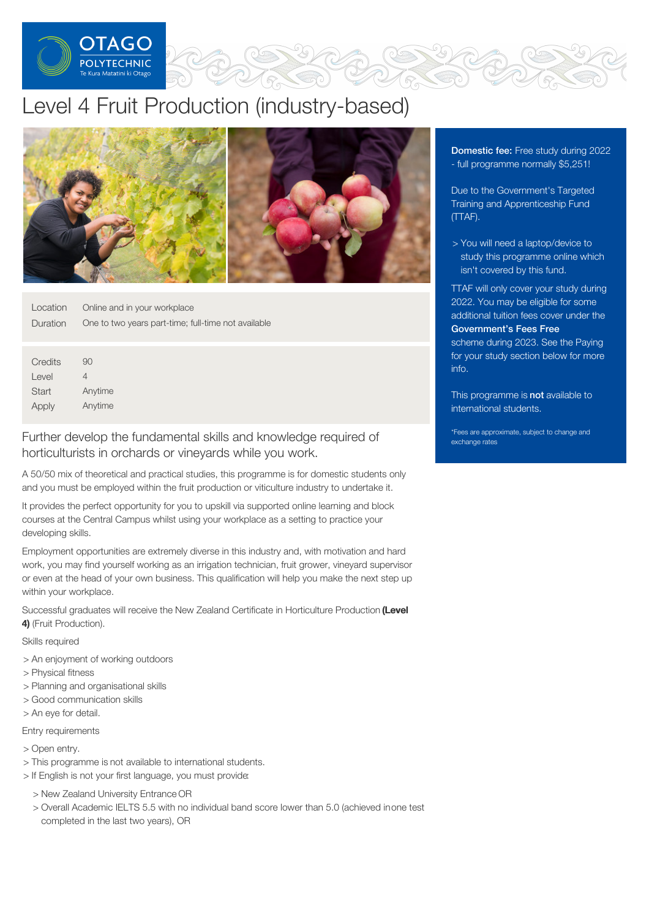

# Level 4 Fruit Production (industry-based)



| Location        | Online and in your workplace                        |
|-----------------|-----------------------------------------------------|
| <b>Duration</b> | One to two years part-time; full-time not available |

| Credits | 90      |
|---------|---------|
| Level   | 4       |
| Start   | Anytime |
| Apply   | Anytime |

## Further develop the fundamental skills and knowledge required of horticulturists in orchards or vineyards while you work.

A 50/50 mix of theoretical and practical studies, this programme is for domestic students only and you must be employed within the fruit production or viticulture industry to undertake it.

It provides the perfect opportunity for you to upskill via supported online learning and block courses at the Central Campus whilst using your workplace as a setting to practice your developing skills.

Employment opportunities are extremely diverse in this industry and, with motivation and hard work, you may find yourself working as an irrigation technician, fruit grower, vineyard supervisor or even at the head of your own business. This qualification will help you make the next step up within your workplace.

Successful graduates will receive the New Zealand Certificate in Horticulture Production (Level 4) (Fruit Production).

### Skills required

- > An enjoyment of working outdoors
- > Physical fitness
- > Planning and organisational skills
- > Good communication skills
- > An eye for detail.

#### Entry requirements

- > Open entry.
- > This programme is not available to international students.
- > If English is not your first language, you must provide:
	- > New Zealand University Entrance OR
	- > Overall Academic IELTS 5.5 with no individual band score lower than 5.0 (achieved inone test completed in the last two years), OR

**Domestic fee:** Free study during 2022 - full programme normally \$5,251!

Due to the Government's Targeted Training and Apprenticeship Fund (TTAF).

> You will need a laptop/device to study this programme online which isn't covered by this fund.

TTAF will only cover your study during 2022. You may be eligible for some additional tuition fees cover under the [Government's](https://www.feesfree.govt.nz/) Fees Free scheme during 2023. See the Paying for your study section below for more info.

This programme is not available to international students.

\*Fees are approximate, subject to change and exchange rates